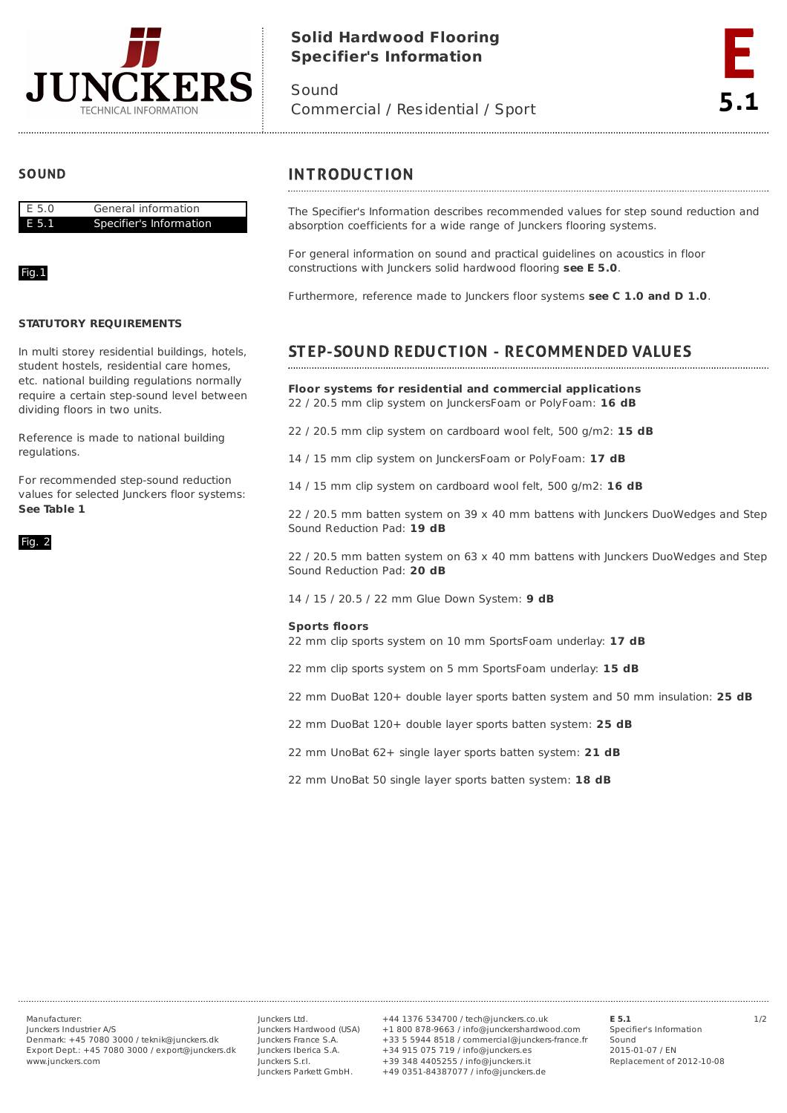

# **Solid Hardwood Flooring Specifier's Information**

Sound Commercial / Residential / Sport



## **SOUND**



### Fig.1

#### **STATUTORY REQUIREMENTS**

In multi storey residential buildings, hotels, student hostels, residential care homes, etc. national building regulations normally require a certain step-sound level between dividing floors in two units.

Reference is made to national building regulations.

For recommended step-sound reduction values for selected Junckers floor systems: **See Table 1**



## **INTRODUCTION**

The Specifier's Information describes recommended values for step sound reduction and absorption coefficients for a wide range of Junckers flooring systems.

For general information on sound and practical guidelines on acoustics in floor constructions with Junckers solid hardwood flooring **see E 5.0**.

Furthermore, reference made to Junckers floor systems **see C 1.0 and D 1.0**.

## STEP-SOUND REDUCTION - RECOMMENDED VALUES

**Floor systems for residential and commercial applications** 22 / 20.5 mm clip system on JunckersFoam or PolyFoam: **16 dB**

22 / 20.5 mm clip system on cardboard wool felt, 500 g/m2: **15 dB**

14 / 15 mm clip system on JunckersFoam or PolyFoam: **17 dB**

14 / 15 mm clip system on cardboard wool felt, 500 g/m2: **16 dB**

22 / 20.5 mm batten system on 39 x 40 mm battens with Junckers DuoWedges and Step Sound Reduction Pad: **19 dB**

22 / 20.5 mm batten system on 63 x 40 mm battens with Junckers DuoWedges and Step Sound Reduction Pad: **20 dB**

14 / 15 / 20.5 / 22 mm Glue Down System: **9 dB**

#### **Sports floors**

22 mm clip sports system on 10 mm SportsFoam underlay: **17 dB**

22 mm clip sports system on 5 mm SportsFoam underlay: **15 dB**

22 mm DuoBat 120+ double layer sports batten system and 50 mm insulation: **25 dB**

22 mm DuoBat 120+ double layer sports batten system: **25 dB**

22 mm UnoBat 62+ single layer sports batten system: **21 dB**

22 mm UnoBat 50 single layer sports batten system: **18 dB**

Junckers Industrier A/S Denmark: +45 7080 3000 / teknik@junckers.dk Export Dept.: +45 7080 3000 / export@junckers.dk www.junckers.com

Junckers Ltd. Junckers Hardwood (USA) Junckers France S.A. Junckers Iberica S.A. Junckers S.r.I. Junckers Parkett GmbH.

Manufacturer: Junckers Ltd. +44 1376 534700 / tech@junckers.co.uk **E 5.1** 1/2 +1 800 878-9663 / info@junckershardwood.com +33 5 5944 8518 / commercial@junckers-france.fr +34 915 075 719 / info@junckers.es +39 348 4405255 / info@junckers.it +49 0351-84387077 / info@junckers.de

**E 5.1** Specifier's Information Sound 2015-01-07 / EN Replacement of 2012-10-08